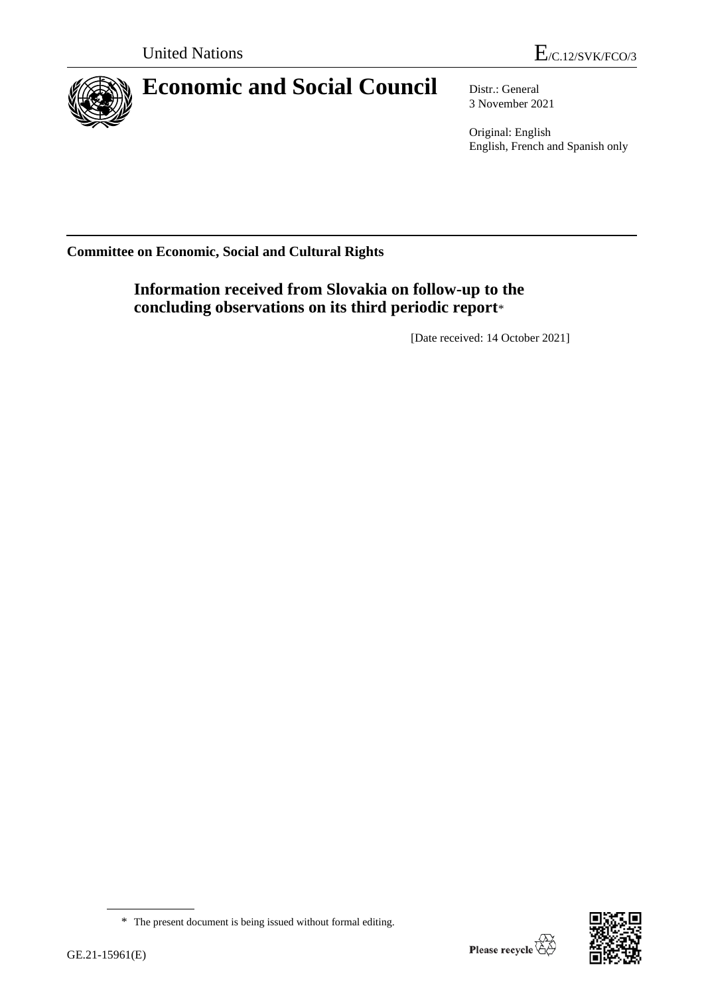

## **Economic and Social Council** Distr.: General

3 November 2021

Original: English English, French and Spanish only

**Committee on Economic, Social and Cultural Rights**

**Information received from Slovakia on follow-up to the concluding observations on its third periodic report**\*

[Date received: 14 October 2021]



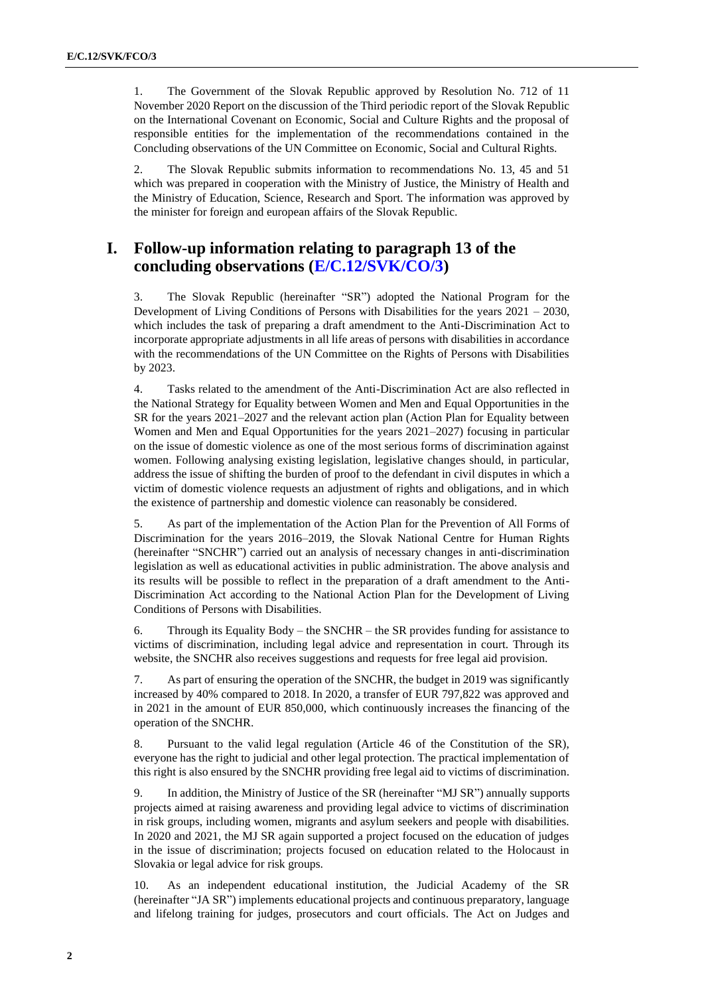1. The Government of the Slovak Republic approved by Resolution No. 712 of 11 November 2020 Report on the discussion of the Third periodic report of the Slovak Republic on the International Covenant on Economic, Social and Culture Rights and the proposal of responsible entities for the implementation of the recommendations contained in the Concluding observations of the UN Committee on Economic, Social and Cultural Rights.

2. The Slovak Republic submits information to recommendations No. 13, 45 and 51 which was prepared in cooperation with the Ministry of Justice, the Ministry of Health and the Ministry of Education, Science, Research and Sport. The information was approved by the minister for foreign and european affairs of the Slovak Republic.

## **I. Follow-up information relating to paragraph 13 of the concluding observations [\(E/C.12/SVK/CO/3\)](https://undocs.org/en/E/C.12/SVK/CO/3)**

3. The Slovak Republic (hereinafter "SR") adopted the National Program for the Development of Living Conditions of Persons with Disabilities for the years 2021 – 2030, which includes the task of preparing a draft amendment to the Anti-Discrimination Act to incorporate appropriate adjustments in all life areas of persons with disabilities in accordance with the recommendations of the UN Committee on the Rights of Persons with Disabilities by 2023.

4. Tasks related to the amendment of the Anti-Discrimination Act are also reflected in the National Strategy for Equality between Women and Men and Equal Opportunities in the SR for the years 2021–2027 and the relevant action plan (Action Plan for Equality between Women and Men and Equal Opportunities for the years 2021–2027) focusing in particular on the issue of domestic violence as one of the most serious forms of discrimination against women. Following analysing existing legislation, legislative changes should, in particular, address the issue of shifting the burden of proof to the defendant in civil disputes in which a victim of domestic violence requests an adjustment of rights and obligations, and in which the existence of partnership and domestic violence can reasonably be considered.

5. As part of the implementation of the Action Plan for the Prevention of All Forms of Discrimination for the years 2016–2019, the Slovak National Centre for Human Rights (hereinafter "SNCHR") carried out an analysis of necessary changes in anti-discrimination legislation as well as educational activities in public administration. The above analysis and its results will be possible to reflect in the preparation of a draft amendment to the Anti-Discrimination Act according to the National Action Plan for the Development of Living Conditions of Persons with Disabilities.

6. Through its Equality Body – the SNCHR – the SR provides funding for assistance to victims of discrimination, including legal advice and representation in court. Through its website, the SNCHR also receives suggestions and requests for free legal aid provision.

7. As part of ensuring the operation of the SNCHR, the budget in 2019 was significantly increased by 40% compared to 2018. In 2020, a transfer of EUR 797,822 was approved and in 2021 in the amount of EUR 850,000, which continuously increases the financing of the operation of the SNCHR.

8. Pursuant to the valid legal regulation (Article 46 of the Constitution of the SR), everyone has the right to judicial and other legal protection. The practical implementation of this right is also ensured by the SNCHR providing free legal aid to victims of discrimination.

9. In addition, the Ministry of Justice of the SR (hereinafter "MJ SR") annually supports projects aimed at raising awareness and providing legal advice to victims of discrimination in risk groups, including women, migrants and asylum seekers and people with disabilities. In 2020 and 2021, the MJ SR again supported a project focused on the education of judges in the issue of discrimination; projects focused on education related to the Holocaust in Slovakia or legal advice for risk groups.

10. As an independent educational institution, the Judicial Academy of the SR (hereinafter "JA SR") implements educational projects and continuous preparatory, language and lifelong training for judges, prosecutors and court officials. The Act on Judges and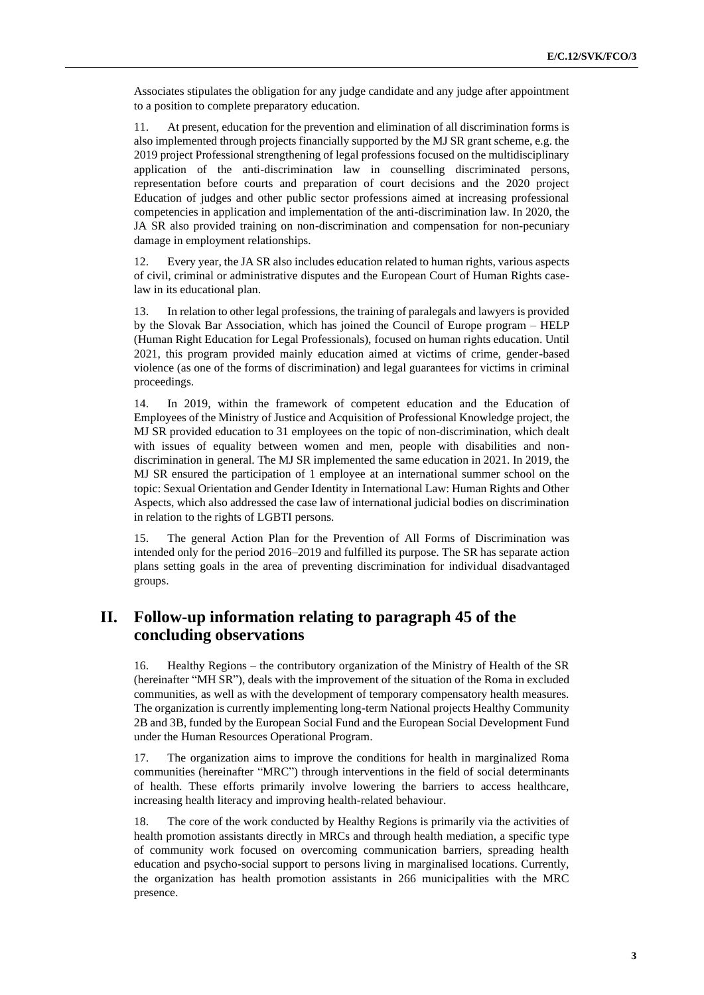Associates stipulates the obligation for any judge candidate and any judge after appointment to a position to complete preparatory education.

11. At present, education for the prevention and elimination of all discrimination forms is also implemented through projects financially supported by the MJ SR grant scheme, e.g. the 2019 project Professional strengthening of legal professions focused on the multidisciplinary application of the anti-discrimination law in counselling discriminated persons, representation before courts and preparation of court decisions and the 2020 project Education of judges and other public sector professions aimed at increasing professional competencies in application and implementation of the anti-discrimination law. In 2020, the JA SR also provided training on non-discrimination and compensation for non-pecuniary damage in employment relationships.

Every year, the JA SR also includes education related to human rights, various aspects of civil, criminal or administrative disputes and the European Court of Human Rights caselaw in its educational plan.

13. In relation to other legal professions, the training of paralegals and lawyers is provided by the Slovak Bar Association, which has joined the Council of Europe program – HELP (Human Right Education for Legal Professionals), focused on human rights education. Until 2021, this program provided mainly education aimed at victims of crime, gender-based violence (as one of the forms of discrimination) and legal guarantees for victims in criminal proceedings.

14. In 2019, within the framework of competent education and the Education of Employees of the Ministry of Justice and Acquisition of Professional Knowledge project, the MJ SR provided education to 31 employees on the topic of non-discrimination, which dealt with issues of equality between women and men, people with disabilities and nondiscrimination in general. The MJ SR implemented the same education in 2021. In 2019, the MJ SR ensured the participation of 1 employee at an international summer school on the topic: Sexual Orientation and Gender Identity in International Law: Human Rights and Other Aspects, which also addressed the case law of international judicial bodies on discrimination in relation to the rights of LGBTI persons.

15. The general Action Plan for the Prevention of All Forms of Discrimination was intended only for the period 2016–2019 and fulfilled its purpose. The SR has separate action plans setting goals in the area of preventing discrimination for individual disadvantaged groups.

## **II. Follow-up information relating to paragraph 45 of the concluding observations**

16. Healthy Regions – the contributory organization of the Ministry of Health of the SR (hereinafter "MH SR"), deals with the improvement of the situation of the Roma in excluded communities, as well as with the development of temporary compensatory health measures. The organization is currently implementing long-term National projects Healthy Community 2B and 3B, funded by the European Social Fund and the European Social Development Fund under the Human Resources Operational Program.

17. The organization aims to improve the conditions for health in marginalized Roma communities (hereinafter "MRC") through interventions in the field of social determinants of health. These efforts primarily involve lowering the barriers to access healthcare, increasing health literacy and improving health-related behaviour.

18. The core of the work conducted by Healthy Regions is primarily via the activities of health promotion assistants directly in MRCs and through health mediation, a specific type of community work focused on overcoming communication barriers, spreading health education and psycho-social support to persons living in marginalised locations. Currently, the organization has health promotion assistants in 266 municipalities with the MRC presence.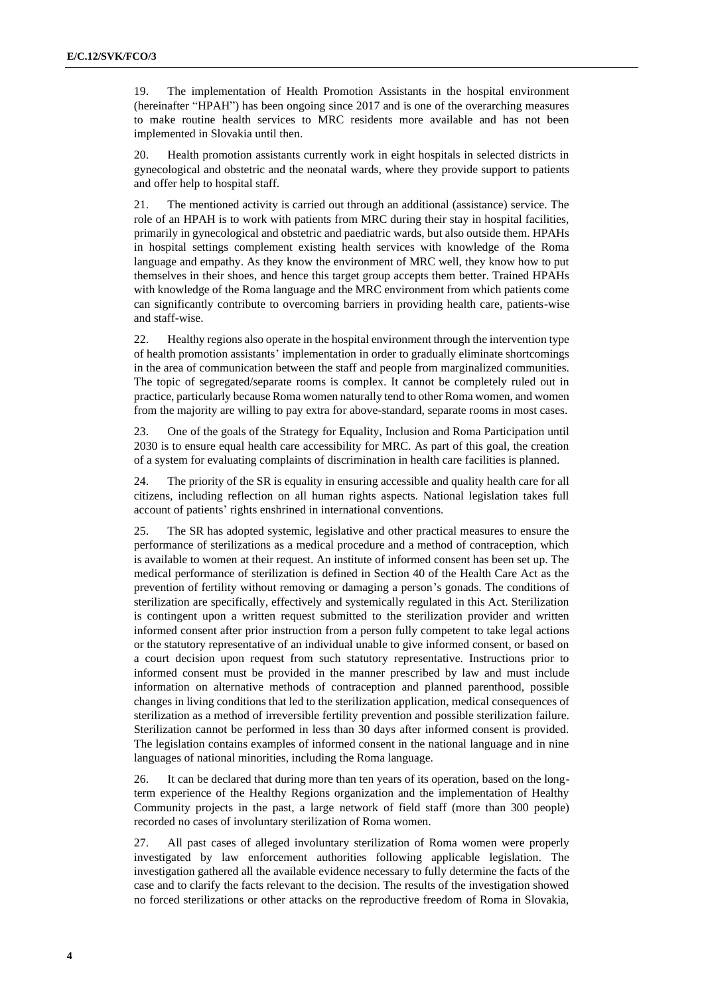19. The implementation of Health Promotion Assistants in the hospital environment (hereinafter "HPAH") has been ongoing since 2017 and is one of the overarching measures to make routine health services to MRC residents more available and has not been implemented in Slovakia until then.

20. Health promotion assistants currently work in eight hospitals in selected districts in gynecological and obstetric and the neonatal wards, where they provide support to patients and offer help to hospital staff.

21. The mentioned activity is carried out through an additional (assistance) service. The role of an HPAH is to work with patients from MRC during their stay in hospital facilities, primarily in gynecological and obstetric and paediatric wards, but also outside them. HPAHs in hospital settings complement existing health services with knowledge of the Roma language and empathy. As they know the environment of MRC well, they know how to put themselves in their shoes, and hence this target group accepts them better. Trained HPAHs with knowledge of the Roma language and the MRC environment from which patients come can significantly contribute to overcoming barriers in providing health care, patients-wise and staff-wise.

22. Healthy regions also operate in the hospital environment through the intervention type of health promotion assistants' implementation in order to gradually eliminate shortcomings in the area of communication between the staff and people from marginalized communities. The topic of segregated/separate rooms is complex. It cannot be completely ruled out in practice, particularly because Roma women naturally tend to other Roma women, and women from the majority are willing to pay extra for above-standard, separate rooms in most cases.

23. One of the goals of the Strategy for Equality, Inclusion and Roma Participation until 2030 is to ensure equal health care accessibility for MRC. As part of this goal, the creation of a system for evaluating complaints of discrimination in health care facilities is planned.

24. The priority of the SR is equality in ensuring accessible and quality health care for all citizens, including reflection on all human rights aspects. National legislation takes full account of patients' rights enshrined in international conventions.

25. The SR has adopted systemic, legislative and other practical measures to ensure the performance of sterilizations as a medical procedure and a method of contraception, which is available to women at their request. An institute of informed consent has been set up. The medical performance of sterilization is defined in Section 40 of the Health Care Act as the prevention of fertility without removing or damaging a person's gonads. The conditions of sterilization are specifically, effectively and systemically regulated in this Act. Sterilization is contingent upon a written request submitted to the sterilization provider and written informed consent after prior instruction from a person fully competent to take legal actions or the statutory representative of an individual unable to give informed consent, or based on a court decision upon request from such statutory representative. Instructions prior to informed consent must be provided in the manner prescribed by law and must include information on alternative methods of contraception and planned parenthood, possible changes in living conditions that led to the sterilization application, medical consequences of sterilization as a method of irreversible fertility prevention and possible sterilization failure. Sterilization cannot be performed in less than 30 days after informed consent is provided. The legislation contains examples of informed consent in the national language and in nine languages of national minorities, including the Roma language.

26. It can be declared that during more than ten years of its operation, based on the longterm experience of the Healthy Regions organization and the implementation of Healthy Community projects in the past, a large network of field staff (more than 300 people) recorded no cases of involuntary sterilization of Roma women.

27. All past cases of alleged involuntary sterilization of Roma women were properly investigated by law enforcement authorities following applicable legislation. The investigation gathered all the available evidence necessary to fully determine the facts of the case and to clarify the facts relevant to the decision. The results of the investigation showed no forced sterilizations or other attacks on the reproductive freedom of Roma in Slovakia,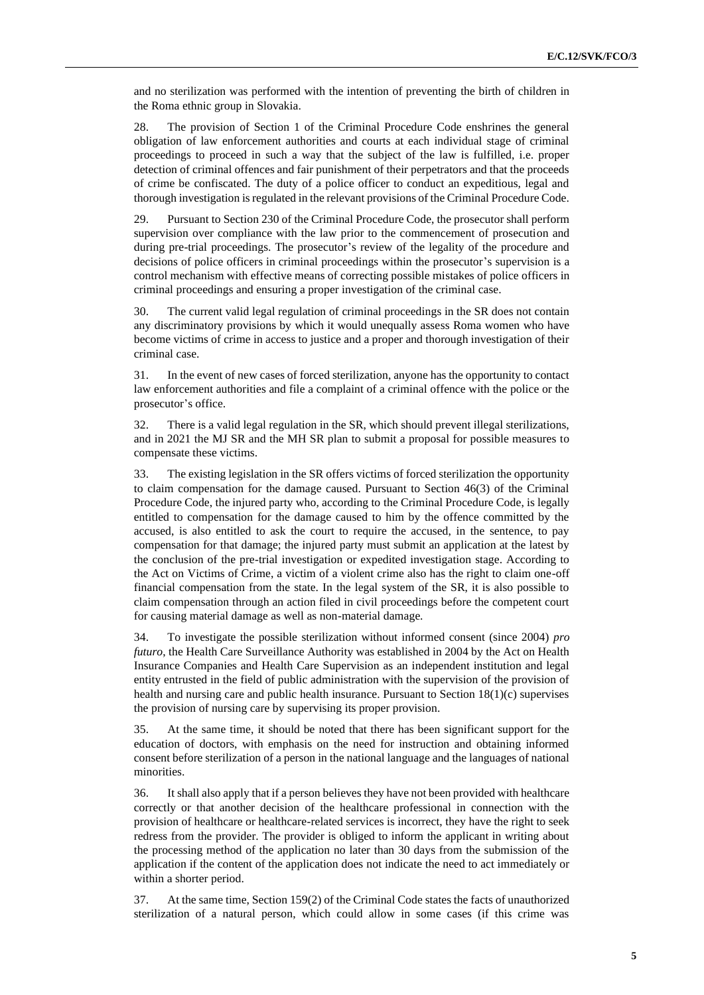and no sterilization was performed with the intention of preventing the birth of children in the Roma ethnic group in Slovakia.

28. The provision of Section 1 of the Criminal Procedure Code enshrines the general obligation of law enforcement authorities and courts at each individual stage of criminal proceedings to proceed in such a way that the subject of the law is fulfilled, i.e. proper detection of criminal offences and fair punishment of their perpetrators and that the proceeds of crime be confiscated. The duty of a police officer to conduct an expeditious, legal and thorough investigation is regulated in the relevant provisions of the Criminal Procedure Code.

29. Pursuant to Section 230 of the Criminal Procedure Code, the prosecutor shall perform supervision over compliance with the law prior to the commencement of prosecution and during pre-trial proceedings. The prosecutor's review of the legality of the procedure and decisions of police officers in criminal proceedings within the prosecutor's supervision is a control mechanism with effective means of correcting possible mistakes of police officers in criminal proceedings and ensuring a proper investigation of the criminal case.

30. The current valid legal regulation of criminal proceedings in the SR does not contain any discriminatory provisions by which it would unequally assess Roma women who have become victims of crime in access to justice and a proper and thorough investigation of their criminal case.

31. In the event of new cases of forced sterilization, anyone has the opportunity to contact law enforcement authorities and file a complaint of a criminal offence with the police or the prosecutor's office.

32. There is a valid legal regulation in the SR, which should prevent illegal sterilizations, and in 2021 the MJ SR and the MH SR plan to submit a proposal for possible measures to compensate these victims.

33. The existing legislation in the SR offers victims of forced sterilization the opportunity to claim compensation for the damage caused. Pursuant to Section 46(3) of the Criminal Procedure Code, the injured party who, according to the Criminal Procedure Code, is legally entitled to compensation for the damage caused to him by the offence committed by the accused, is also entitled to ask the court to require the accused, in the sentence, to pay compensation for that damage; the injured party must submit an application at the latest by the conclusion of the pre-trial investigation or expedited investigation stage. According to the Act on Victims of Crime, a victim of a violent crime also has the right to claim one-off financial compensation from the state. In the legal system of the SR, it is also possible to claim compensation through an action filed in civil proceedings before the competent court for causing material damage as well as non-material damage.

34. To investigate the possible sterilization without informed consent (since 2004) *pro futuro*, the Health Care Surveillance Authority was established in 2004 by the Act on Health Insurance Companies and Health Care Supervision as an independent institution and legal entity entrusted in the field of public administration with the supervision of the provision of health and nursing care and public health insurance. Pursuant to Section 18(1)(c) supervises the provision of nursing care by supervising its proper provision.

35. At the same time, it should be noted that there has been significant support for the education of doctors, with emphasis on the need for instruction and obtaining informed consent before sterilization of a person in the national language and the languages of national minorities.

36. It shall also apply that if a person believes they have not been provided with healthcare correctly or that another decision of the healthcare professional in connection with the provision of healthcare or healthcare-related services is incorrect, they have the right to seek redress from the provider. The provider is obliged to inform the applicant in writing about the processing method of the application no later than 30 days from the submission of the application if the content of the application does not indicate the need to act immediately or within a shorter period.

37. At the same time, Section 159(2) of the Criminal Code states the facts of unauthorized sterilization of a natural person, which could allow in some cases (if this crime was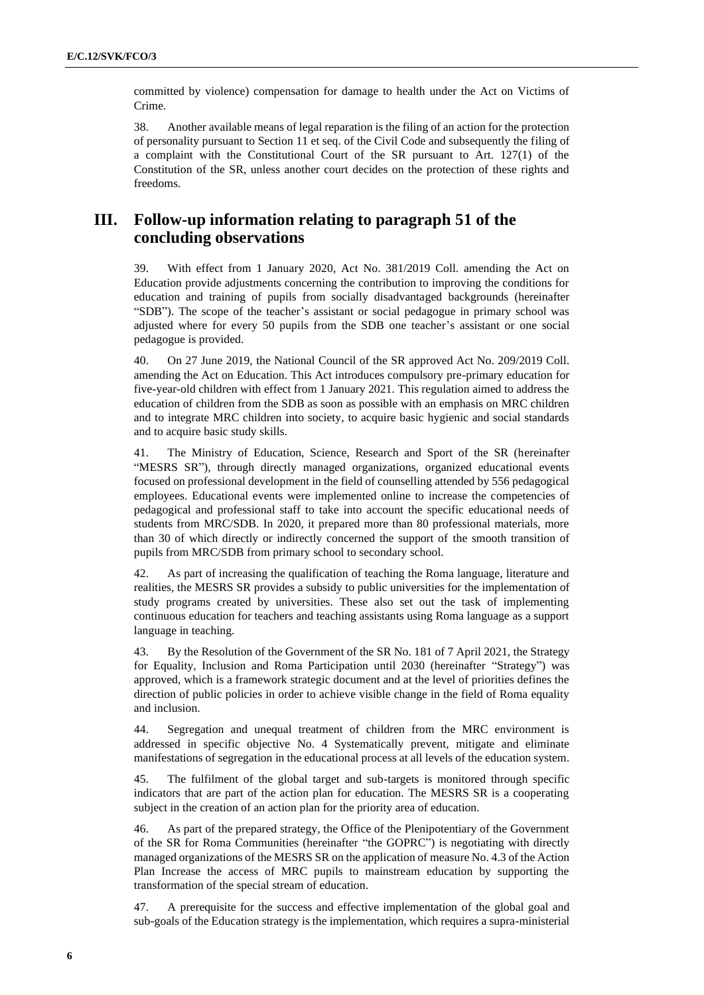committed by violence) compensation for damage to health under the Act on Victims of Crime.

38. Another available means of legal reparation is the filing of an action for the protection of personality pursuant to Section 11 et seq. of the Civil Code and subsequently the filing of a complaint with the Constitutional Court of the SR pursuant to Art. 127(1) of the Constitution of the SR, unless another court decides on the protection of these rights and freedoms.

## **III. Follow-up information relating to paragraph 51 of the concluding observations**

39. With effect from 1 January 2020, Act No. 381/2019 Coll. amending the Act on Education provide adjustments concerning the contribution to improving the conditions for education and training of pupils from socially disadvantaged backgrounds (hereinafter "SDB"). The scope of the teacher's assistant or social pedagogue in primary school was adjusted where for every 50 pupils from the SDB one teacher's assistant or one social pedagogue is provided.

40. On 27 June 2019, the National Council of the SR approved Act No. 209/2019 Coll. amending the Act on Education. This Act introduces compulsory pre-primary education for five-year-old children with effect from 1 January 2021. This regulation aimed to address the education of children from the SDB as soon as possible with an emphasis on MRC children and to integrate MRC children into society, to acquire basic hygienic and social standards and to acquire basic study skills.

41. The Ministry of Education, Science, Research and Sport of the SR (hereinafter "MESRS SR"), through directly managed organizations, organized educational events focused on professional development in the field of counselling attended by 556 pedagogical employees. Educational events were implemented online to increase the competencies of pedagogical and professional staff to take into account the specific educational needs of students from MRC/SDB. In 2020, it prepared more than 80 professional materials, more than 30 of which directly or indirectly concerned the support of the smooth transition of pupils from MRC/SDB from primary school to secondary school.

As part of increasing the qualification of teaching the Roma language, literature and realities, the MESRS SR provides a subsidy to public universities for the implementation of study programs created by universities. These also set out the task of implementing continuous education for teachers and teaching assistants using Roma language as a support language in teaching.

43. By the Resolution of the Government of the SR No. 181 of 7 April 2021, the Strategy for Equality, Inclusion and Roma Participation until 2030 (hereinafter "Strategy") was approved, which is a framework strategic document and at the level of priorities defines the direction of public policies in order to achieve visible change in the field of Roma equality and inclusion.

44. Segregation and unequal treatment of children from the MRC environment is addressed in specific objective No. 4 Systematically prevent, mitigate and eliminate manifestations of segregation in the educational process at all levels of the education system.

45. The fulfilment of the global target and sub-targets is monitored through specific indicators that are part of the action plan for education. The MESRS SR is a cooperating subject in the creation of an action plan for the priority area of education.

46. As part of the prepared strategy, the Office of the Plenipotentiary of the Government of the SR for Roma Communities (hereinafter "the GOPRC") is negotiating with directly managed organizations of the MESRS SR on the application of measure No. 4.3 of the Action Plan Increase the access of MRC pupils to mainstream education by supporting the transformation of the special stream of education.

47. A prerequisite for the success and effective implementation of the global goal and sub-goals of the Education strategy is the implementation, which requires a supra-ministerial